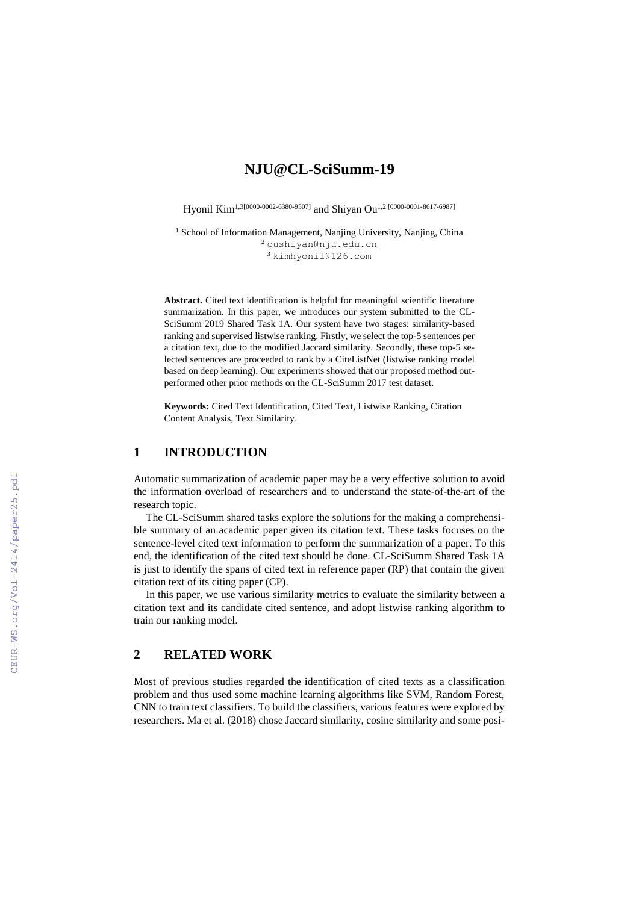# **NJU@CL-SciSumm-19**

Hyonil Kim<sup>1,3[0000-0002-6380-9507]</sup> and Shiyan Ou<sup>1,2</sup> [0000-0001-8617-6987]

<sup>1</sup> School of Information Management, Nanjing University, Nanjing, China <sup>2</sup> [oushiyan@nju.edu.cn](mailto:oushiyan@nju.edu.cn) <sup>3</sup> [kimhyonil@126.co](mailto:kimhyonil@126.c)m

**Abstract.** Cited text identification is helpful for meaningful scientific literature summarization. In this paper, we introduces our system submitted to the CL-SciSumm 2019 Shared Task 1A. Our system have two stages: similarity-based ranking and supervised listwise ranking. Firstly, we select the top-5 sentences per a citation text, due to the modified Jaccard similarity. Secondly, these top-5 selected sentences are proceeded to rank by a CiteListNet (listwise ranking model based on deep learning). Our experiments showed that our proposed method outperformed other prior methods on the CL-SciSumm 2017 test dataset.

**Keywords:** Cited Text Identification, Cited Text, Listwise Ranking, Citation Content Analysis, Text Similarity.

## **1 INTRODUCTION**

Automatic summarization of academic paper may be a very effective solution to avoid the information overload of researchers and to understand the state-of-the-art of the research topic.

The CL-SciSumm shared tasks explore the solutions for the making a comprehensible summary of an academic paper given its citation text. These tasks focuses on the sentence-level cited text information to perform the summarization of a paper. To this end, the identification of the cited text should be done. CL-SciSumm Shared Task 1A is just to identify the spans of cited text in reference paper (RP) that contain the given citation text of its citing paper (CP).

In this paper, we use various similarity metrics to evaluate the similarity between a citation text and its candidate cited sentence, and adopt listwise ranking algorithm to train our ranking model.

## **2 RELATED WORK**

Most of previous studies regarded the identification of cited texts as a classification problem and thus used some machine learning algorithms like SVM, Random Forest, CNN to train text classifiers. To build the classifiers, various features were explored by researchers. Ma et al. (2018) chose Jaccard similarity, cosine similarity and some posi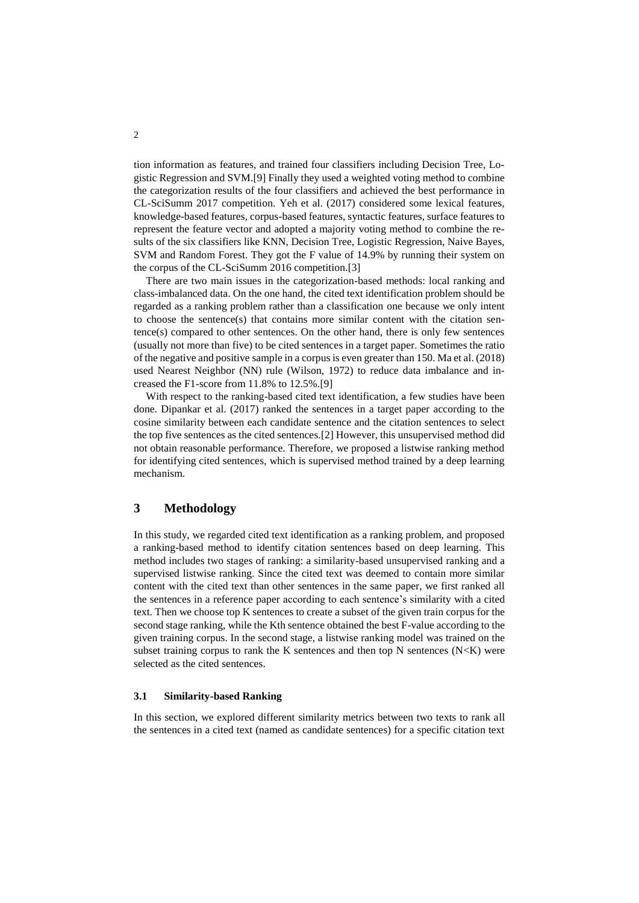tion information as features, and trained four classifiers including Decision Tree, Logistic Regression and SVM.[9] Finally they used a weighted voting method to combine the categorization results of the four classifiers and achieved the best performance in CL-SciSumm 2017 competition. Yeh et al. (2017) considered some lexical features, knowledge-based features, corpus-based features, syntactic features, surface features to represent the feature vector and adopted a majority voting method to combine the results of the six classifiers like KNN, Decision Tree, Logistic Regression, Naive Bayes, SVM and Random Forest. They got the F value of 14.9% by running their system on the corpus of the CL-SciSumm 2016 competition.[3]

There are two main issues in the categorization-based methods: local ranking and class-imbalanced data. On the one hand, the cited text identification problem should be regarded as a ranking problem rather than a classification one because we only intent to choose the sentence(s) that contains more similar content with the citation sentence(s) compared to other sentences. On the other hand, there is only few sentences (usually not more than five) to be cited sentences in a target paper. Sometimes the ratio of the negative and positive sample in a corpus is even greater than 150. Ma et al. (2018) used Nearest Neighbor (NN) rule (Wilson, 1972) to reduce data imbalance and increased the F1-score from 11.8% to 12.5%.[9]

With respect to the ranking-based cited text identification, a few studies have been done. Dipankar et al. (2017) ranked the sentences in a target paper according to the cosine similarity between each candidate sentence and the citation sentences to select the top five sentences as the cited sentences.[2] However, this unsupervised method did not obtain reasonable performance. Therefore, we proposed a listwise ranking method for identifying cited sentences, which is supervised method trained by a deep learning mechanism.

## **3 Methodology**

In this study, we regarded cited text identification as a ranking problem, and proposed a ranking-based method to identify citation sentences based on deep learning. This method includes two stages of ranking: a similarity-based unsupervised ranking and a supervised listwise ranking. Since the cited text was deemed to contain more similar content with the cited text than other sentences in the same paper, we first ranked all the sentences in a reference paper according to each sentence's similarity with a cited text. Then we choose top K sentences to create a subset of the given train corpus for the second stage ranking, while the Kth sentence obtained the best F-value according to the given training corpus. In the second stage, a listwise ranking model was trained on the subset training corpus to rank the K sentences and then top N sentences  $(N < K)$  were selected as the cited sentences.

#### **3.1 Similarity-based Ranking**

In this section, we explored different similarity metrics between two texts to rank all the sentences in a cited text (named as candidate sentences) for a specific citation text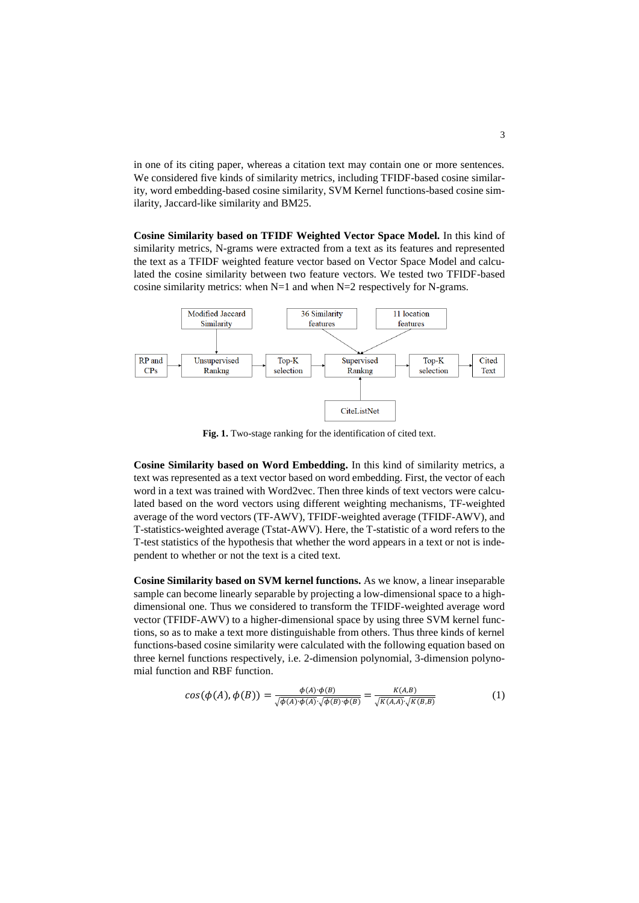in one of its citing paper, whereas a citation text may contain one or more sentences. We considered five kinds of similarity metrics, including TFIDF-based cosine similarity, word embedding-based cosine similarity, SVM Kernel functions-based cosine similarity, Jaccard-like similarity and BM25.

**Cosine Similarity based on TFIDF Weighted Vector Space Model.** In this kind of similarity metrics, N-grams were extracted from a text as its features and represented the text as a TFIDF weighted feature vector based on Vector Space Model and calculated the cosine similarity between two feature vectors. We tested two TFIDF-based cosine similarity metrics: when  $N=1$  and when  $N=2$  respectively for N-grams.



**Fig. 1.** Two-stage ranking for the identification of cited text.

**Cosine Similarity based on Word Embedding.** In this kind of similarity metrics, a text was represented as a text vector based on word embedding. First, the vector of each word in a text was trained with Word2vec. Then three kinds of text vectors were calculated based on the word vectors using different weighting mechanisms, TF-weighted average of the word vectors (TF-AWV), TFIDF-weighted average (TFIDF-AWV), and T-statistics-weighted average (Tstat-AWV). Here, the T-statistic of a word refers to the T-test statistics of the hypothesis that whether the word appears in a text or not is independent to whether or not the text is a cited text.

**Cosine Similarity based on SVM kernel functions.** As we know, a linear inseparable sample can become linearly separable by projecting a low-dimensional space to a highdimensional one. Thus we considered to transform the TFIDF-weighted average word vector (TFIDF-AWV) to a higher-dimensional space by using three SVM kernel functions, so as to make a text more distinguishable from others. Thus three kinds of kernel functions-based cosine similarity were calculated with the following equation based on three kernel functions respectively, i.e. 2-dimension polynomial, 3-dimension polynomial function and RBF function.

$$
cos(\phi(A), \phi(B)) = \frac{\phi(A) \cdot \phi(B)}{\sqrt{\phi(A) \cdot \phi(A) \cdot \sqrt{\phi(B) \cdot \phi(B)}}} = \frac{K(A,B)}{\sqrt{K(A,A)} \cdot \sqrt{K(B,B)}}
$$
(1)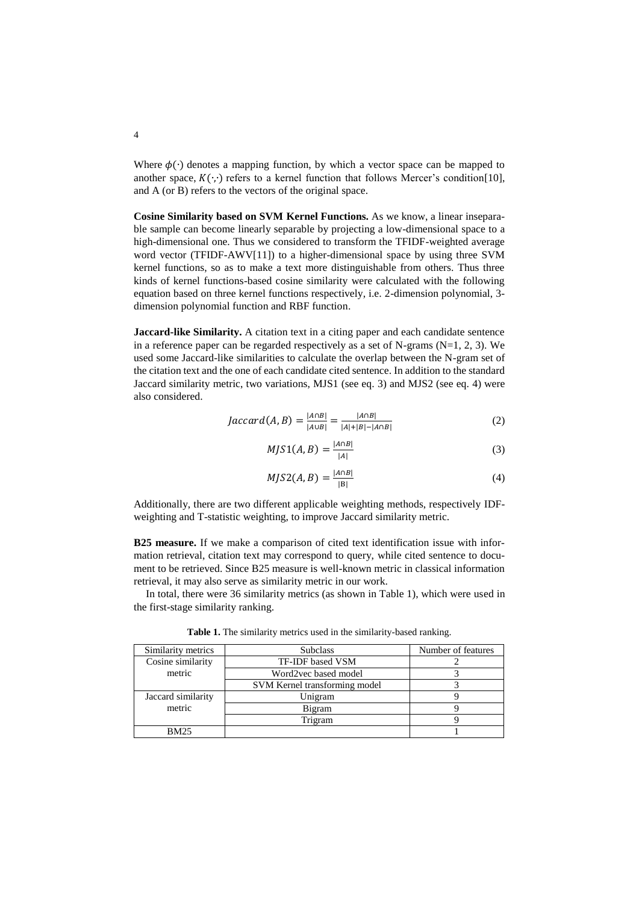Where  $\phi(\cdot)$  denotes a mapping function, by which a vector space can be mapped to another space,  $K(\cdot, \cdot)$  refers to a kernel function that follows Mercer's condition[10], and A (or B) refers to the vectors of the original space.

**Cosine Similarity based on SVM Kernel Functions.** As we know, a linear inseparable sample can become linearly separable by projecting a low-dimensional space to a high-dimensional one. Thus we considered to transform the TFIDF-weighted average word vector (TFIDF-AWV[11]) to a higher-dimensional space by using three SVM kernel functions, so as to make a text more distinguishable from others. Thus three kinds of kernel functions-based cosine similarity were calculated with the following equation based on three kernel functions respectively, i.e. 2-dimension polynomial, 3 dimension polynomial function and RBF function.

**Jaccard-like Similarity.** A citation text in a citing paper and each candidate sentence in a reference paper can be regarded respectively as a set of N-grams  $(N=1, 2, 3)$ . We used some Jaccard-like similarities to calculate the overlap between the N-gram set of the citation text and the one of each candidate cited sentence. In addition to the standard Jaccard similarity metric, two variations, MJS1 (see eq. 3) and MJS2 (see eq. 4) were also considered.

$$
Jaccard(A, B) = \frac{|A \cap B|}{|A \cup B|} = \frac{|A \cap B|}{|A| + |B| - |A \cap B|}
$$
 (2)

$$
MJS1(A,B) = \frac{|A \cap B|}{|A|} \tag{3}
$$

$$
MJS2(A, B) = \frac{|A \cap B|}{|B|} \tag{4}
$$

Additionally, there are two different applicable weighting methods, respectively IDFweighting and T-statistic weighting, to improve Jaccard similarity metric.

**B25 measure.** If we make a comparison of cited text identification issue with information retrieval, citation text may correspond to query, while cited sentence to document to be retrieved. Since B25 measure is well-known metric in classical information retrieval, it may also serve as similarity metric in our work.

In total, there were 36 similarity metrics (as shown in Table 1), which were used in the first-stage similarity ranking.

| Similarity metrics | <b>Subclass</b>               | Number of features |
|--------------------|-------------------------------|--------------------|
| Cosine similarity  | TF-IDF based VSM              |                    |
| metric             | Word2vec based model          |                    |
|                    | SVM Kernel transforming model |                    |
| Jaccard similarity | Unigram                       |                    |
| metric             | Bigram                        |                    |
|                    | Trigram                       |                    |
| <b>BM25</b>        |                               |                    |

**Table 1.** The similarity metrics used in the similarity-based ranking.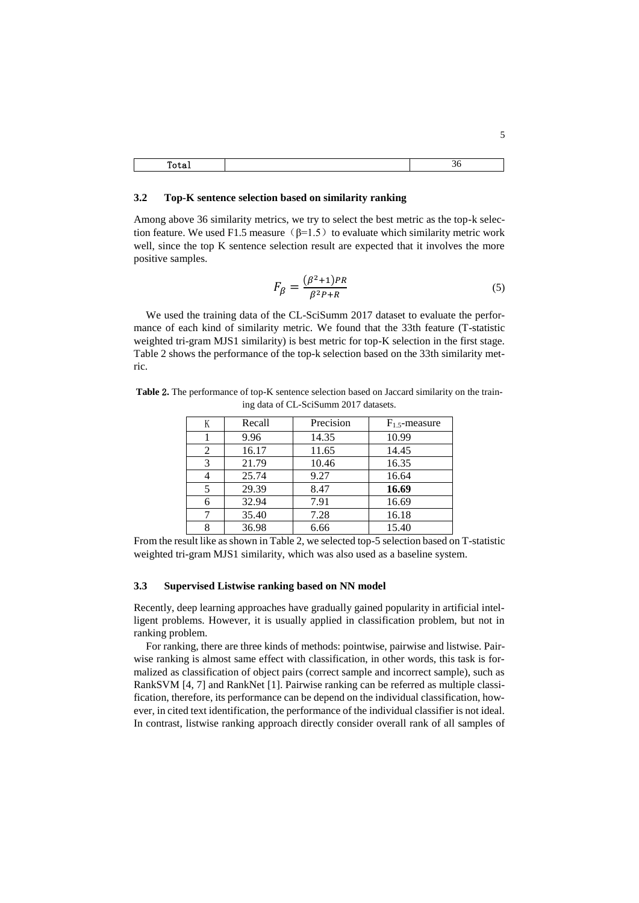#### **3.2 Top-K sentence selection based on similarity ranking**

 $\lceil$ 

Among above 36 similarity metrics, we try to select the best metric as the top-k selection feature. We used F1.5 measure ( $\beta$ =1.5) to evaluate which similarity metric work well, since the top K sentence selection result are expected that it involves the more positive samples.

$$
F_{\beta} = \frac{(\beta^2 + 1)PR}{\beta^2 P + R}
$$
\n<sup>(5)</sup>

We used the training data of the CL-SciSumm 2017 dataset to evaluate the performance of each kind of similarity metric. We found that the 33th feature (T-statistic weighted tri-gram MJS1 similarity) is best metric for top-K selection in the first stage. Table 2 shows the performance of the top-k selection based on the 33th similarity metric.

| K | Recall | Precision | $F_1$ s-measure |
|---|--------|-----------|-----------------|
|   | 9.96   | 14.35     | 10.99           |
| 2 | 16.17  | 11.65     | 14.45           |
| 3 | 21.79  | 10.46     | 16.35           |
|   | 25.74  | 9.27      | 16.64           |
| 5 | 29.39  | 8.47      | 16.69           |
| 6 | 32.94  | 7.91      | 16.69           |
| 7 | 35.40  | 7.28      | 16.18           |
| 8 | 36.98  | 6.66      | 15.40           |

**Table** 2**.** The performance of top-K sentence selection based on Jaccard similarity on the training data of CL-SciSumm 2017 datasets.

From the result like as shown in Table 2, we selected top-5 selection based on T-statistic weighted tri-gram MJS1 similarity, which was also used as a baseline system.

#### **3.3 Supervised Listwise ranking based on NN model**

Recently, deep learning approaches have gradually gained popularity in artificial intelligent problems. However, it is usually applied in classification problem, but not in ranking problem.

For ranking, there are three kinds of methods: pointwise, pairwise and listwise. Pairwise ranking is almost same effect with classification, in other words, this task is formalized as classification of object pairs (correct sample and incorrect sample), such as RankSVM [4, 7] and RankNet [1]. Pairwise ranking can be referred as multiple classification, therefore, its performance can be depend on the individual classification, however, in cited text identification, the performance of the individual classifier is not ideal. In contrast, listwise ranking approach directly consider overall rank of all samples of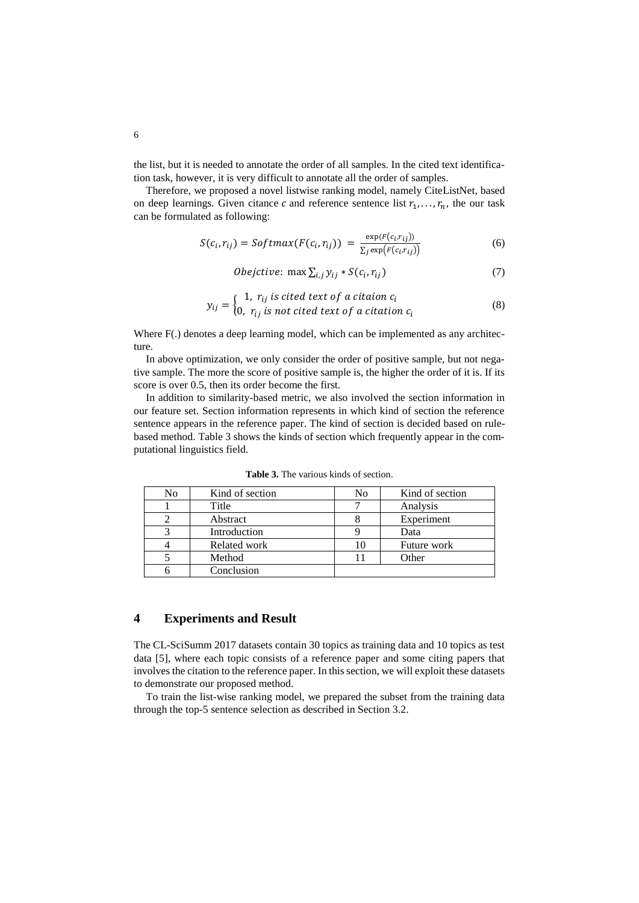the list, but it is needed to annotate the order of all samples. In the cited text identification task, however, it is very difficult to annotate all the order of samples.

Therefore, we proposed a novel listwise ranking model, namely CiteListNet, based on deep learnings. Given citance c and reference sentence list  $r_1, \ldots, r_n$ , the our task can be formulated as following:

$$
S(c_i, r_{ij}) = Softmax(F(c_i, r_{ij})) = \frac{\exp(F(c_i, r_{ij}))}{\sum_j \exp(F(c_i, r_{ij}))}
$$
\n(6)

*Obejctive*: max 
$$
\sum_{i,j} y_{ij} * S(c_i, r_{ij})
$$
 (7)

$$
y_{ij} = \begin{cases} 1, r_{ij} \text{ is cited text of a citation } c_i \\ 0, r_{ij} \text{ is not cited text of a citation } c_i \end{cases}
$$
 (8)

Where F(.) denotes a deep learning model, which can be implemented as any architecture.

In above optimization, we only consider the order of positive sample, but not negative sample. The more the score of positive sample is, the higher the order of it is. If its score is over 0.5, then its order become the first.

In addition to similarity-based metric, we also involved the section information in our feature set. Section information represents in which kind of section the reference sentence appears in the reference paper. The kind of section is decided based on rulebased method. Table 3 shows the kinds of section which frequently appear in the computational linguistics field.

| No | Kind of section | No | Kind of section |
|----|-----------------|----|-----------------|
|    | Title           |    | Analysis        |
|    | Abstract        |    | Experiment      |
|    | Introduction    |    | Data            |
|    | Related work    | 10 | Future work     |
|    | Method          |    | Other           |
|    | Conclusion      |    |                 |

**Table 3.** The various kinds of section.

### **4 Experiments and Result**

The CL-SciSumm 2017 datasets contain 30 topics as training data and 10 topics as test data [5], where each topic consists of a reference paper and some citing papers that involves the citation to the reference paper. In this section, we will exploit these datasets to demonstrate our proposed method.

To train the list-wise ranking model, we prepared the subset from the training data through the top-5 sentence selection as described in Section 3.2.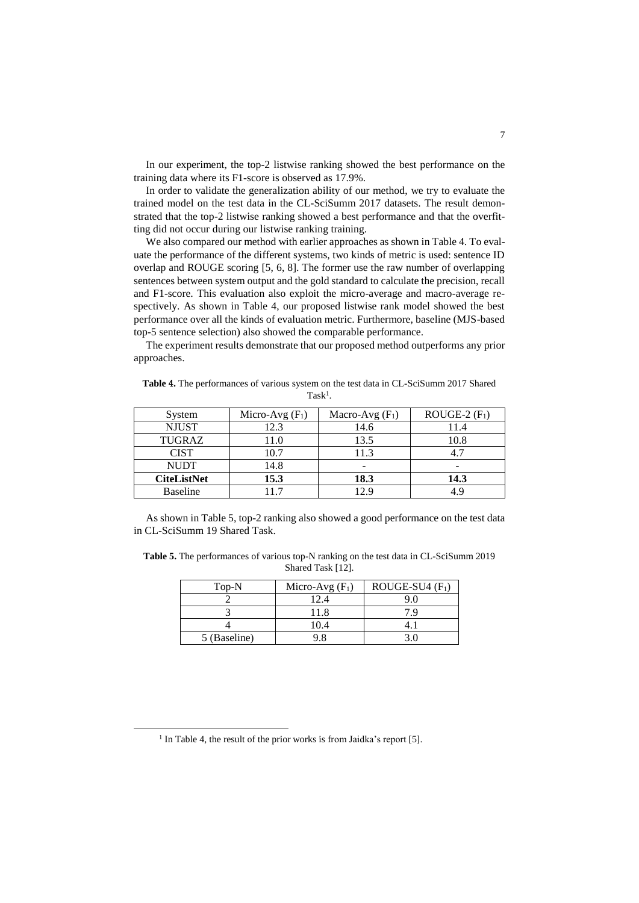In our experiment, the top-2 listwise ranking showed the best performance on the training data where its F1-score is observed as 17.9%.

In order to validate the generalization ability of our method, we try to evaluate the trained model on the test data in the CL-SciSumm 2017 datasets. The result demonstrated that the top-2 listwise ranking showed a best performance and that the overfitting did not occur during our listwise ranking training.

We also compared our method with earlier approaches as shown in Table 4. To evaluate the performance of the different systems, two kinds of metric is used: sentence ID overlap and ROUGE scoring [5, 6, 8]. The former use the raw number of overlapping sentences between system output and the gold standard to calculate the precision, recall and F1-score. This evaluation also exploit the micro-average and macro-average respectively. As shown in Table 4, our proposed listwise rank model showed the best performance over all the kinds of evaluation metric. Furthermore, baseline (MJS-based top-5 sentence selection) also showed the comparable performance.

The experiment results demonstrate that our proposed method outperforms any prior approaches.

| System             | Micro-Avg $(F_1)$ | Macro-Avg $(F_1)$ | ROUGE-2 $(F_1)$ |
|--------------------|-------------------|-------------------|-----------------|
| <b>NJUST</b>       | 12.3              | 14.6              | 11.4            |
| TUGRAZ             | 11.0              | 13.5              | 10.8            |
| <b>CIST</b>        | 10.7              | 11.3              |                 |
| <b>NUDT</b>        | 14.8              |                   |                 |
| <b>CiteListNet</b> | 15.3              | 18.3              | 14.3            |
| <b>Baseline</b>    |                   | 12.9              |                 |

**Table** 4**.** The performances of various system on the test data in CL-SciSumm 2017 Shared  $Task<sup>1</sup>$ .

As shown in Table 5, top-2 ranking also showed a good performance on the test data in CL-SciSumm 19 Shared Task.

**Table 5.** The performances of various top-N ranking on the test data in CL-SciSumm 2019 Shared Task [12].

| Top-N        | Micro-Avg $(F_1)$ | ROUGE-SU4 $(F_1)$ |
|--------------|-------------------|-------------------|
|              | 12.4              |                   |
|              | 11.8              |                   |
|              | (0.4)             |                   |
| 5 (Baseline) |                   |                   |

 $\overline{a}$ 

<sup>&</sup>lt;sup>1</sup> In Table 4, the result of the prior works is from Jaidka's report [5].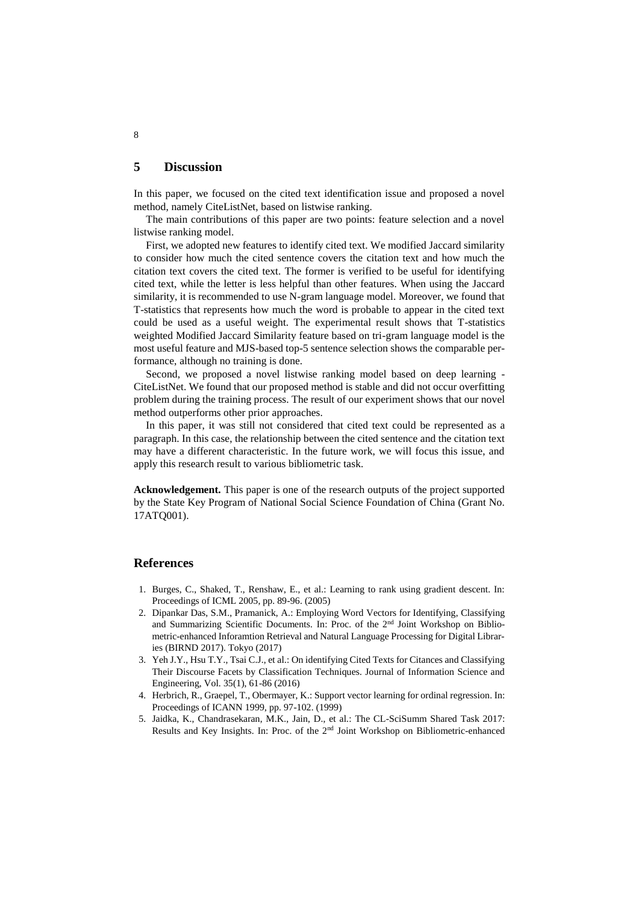## **5 Discussion**

In this paper, we focused on the cited text identification issue and proposed a novel method, namely CiteListNet, based on listwise ranking.

The main contributions of this paper are two points: feature selection and a novel listwise ranking model.

First, we adopted new features to identify cited text. We modified Jaccard similarity to consider how much the cited sentence covers the citation text and how much the citation text covers the cited text. The former is verified to be useful for identifying cited text, while the letter is less helpful than other features. When using the Jaccard similarity, it is recommended to use N-gram language model. Moreover, we found that T-statistics that represents how much the word is probable to appear in the cited text could be used as a useful weight. The experimental result shows that T-statistics weighted Modified Jaccard Similarity feature based on tri-gram language model is the most useful feature and MJS-based top-5 sentence selection shows the comparable performance, although no training is done.

Second, we proposed a novel listwise ranking model based on deep learning - CiteListNet. We found that our proposed method is stable and did not occur overfitting problem during the training process. The result of our experiment shows that our novel method outperforms other prior approaches.

In this paper, it was still not considered that cited text could be represented as a paragraph. In this case, the relationship between the cited sentence and the citation text may have a different characteristic. In the future work, we will focus this issue, and apply this research result to various bibliometric task.

**Acknowledgement.** This paper is one of the research outputs of the project supported by the State Key Program of National Social Science Foundation of China (Grant No. 17ATQ001).

### **References**

- 1. Burges, C., Shaked, T., Renshaw, E., et al.: Learning to rank using gradient descent. In: Proceedings of ICML 2005, pp. 89-96. (2005)
- 2. Dipankar Das, S.M., Pramanick, A.: Employing Word Vectors for Identifying, Classifying and Summarizing Scientific Documents. In: Proc. of the 2nd Joint Workshop on Bibliometric-enhanced Inforamtion Retrieval and Natural Language Processing for Digital Libraries (BIRND 2017). Tokyo (2017)
- 3. Yeh J.Y., Hsu T.Y., Tsai C.J., et al.: On identifying Cited Texts for Citances and Classifying Their Discourse Facets by Classification Techniques. Journal of Information Science and Engineering, Vol. 35(1), 61-86 (2016)
- 4. Herbrich, R., Graepel, T., Obermayer, K.: Support vector learning for ordinal regression. In: Proceedings of ICANN 1999, pp. 97-102. (1999)
- 5. Jaidka, K., Chandrasekaran, M.K., Jain, D., et al.: The CL-SciSumm Shared Task 2017: Results and Key Insights. In: Proc. of the  $2<sup>nd</sup>$  Joint Workshop on Bibliometric-enhanced

### 8